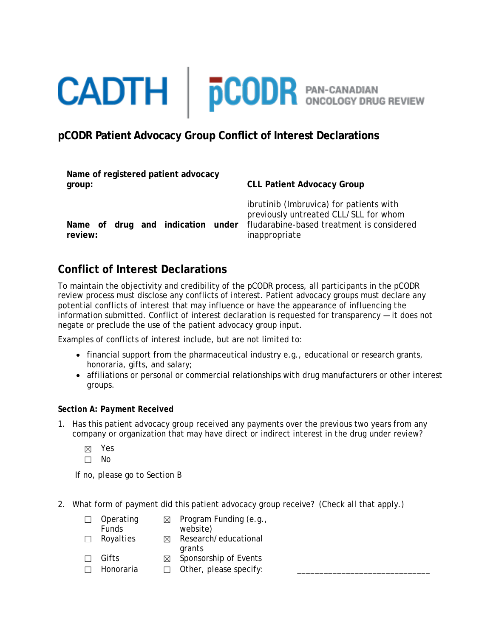# **CADTH** | **pCODR** PAN-CANADIAN

## **pCODR Patient Advocacy Group Conflict of Interest Declarations**

| Name of registered patient advocacy<br>group: | <b>CLL Patient Advocacy Group</b>                                                                                                              |
|-----------------------------------------------|------------------------------------------------------------------------------------------------------------------------------------------------|
| Name of drug and indication under<br>review:  | ibrutinib (Imbruvica) for patients with<br>previously untreated CLL/SLL for whom<br>fludarabine-based treatment is considered<br>inappropriate |

## **Conflict of Interest Declarations**

To maintain the objectivity and credibility of the pCODR process, all participants in the pCODR review process must disclose any conflicts of interest. Patient advocacy groups must declare any potential conflicts of interest that may influence or have the appearance of influencing the information submitted. Conflict of interest declaration is requested for transparency — it does not negate or preclude the use of the patient advocacy group input.

Examples of conflicts of interest include, but are not limited to:

- financial support from the pharmaceutical industry e.g., educational or research grants, honoraria, gifts, and salary;
- affiliations or personal or commercial relationships with drug manufacturers or other interest groups.

### *Section A: Payment Received*

- 1. Has this patient advocacy group received any payments over the previous two years from any company or organization that may have direct or indirect interest in the drug under review?
	- ☒ Yes
	- ☐ No

If no, please go to Section B

2. What form of payment did this patient advocacy group receive? (Check all that apply.)

| Operating    | ⊠ | Program Funding (e.g., |
|--------------|---|------------------------|
| <b>Funds</b> |   | website)               |
| Royalties    | ⊠ | Research/educational   |
|              |   | grants                 |

- $\Box$  Gifts  $\boxtimes$  Sponsorship of Events
- $\Box$  Honoraria  $\Box$  Other, please specify: